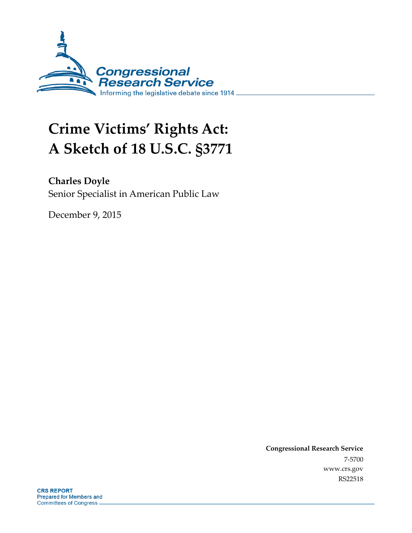

# **Crime Victims' Rights Act: A Sketch of 18 U.S.C. §3771**

**Charles Doyle** Senior Specialist in American Public Law

December 9, 2015

**Congressional Research Service** 7-5700 www.crs.gov RS22518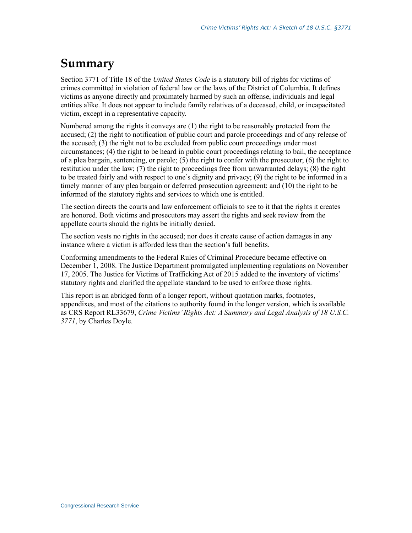### **Summary**

Section 3771 of Title 18 of the *United States Code* is a statutory bill of rights for victims of crimes committed in violation of federal law or the laws of the District of Columbia. It defines victims as anyone directly and proximately harmed by such an offense, individuals and legal entities alike. It does not appear to include family relatives of a deceased, child, or incapacitated victim, except in a representative capacity.

Numbered among the rights it conveys are (1) the right to be reasonably protected from the accused; (2) the right to notification of public court and parole proceedings and of any release of the accused; (3) the right not to be excluded from public court proceedings under most circumstances; (4) the right to be heard in public court proceedings relating to bail, the acceptance of a plea bargain, sentencing, or parole; (5) the right to confer with the prosecutor; (6) the right to restitution under the law; (7) the right to proceedings free from unwarranted delays; (8) the right to be treated fairly and with respect to one's dignity and privacy; (9) the right to be informed in a timely manner of any plea bargain or deferred prosecution agreement; and (10) the right to be informed of the statutory rights and services to which one is entitled.

The section directs the courts and law enforcement officials to see to it that the rights it creates are honored. Both victims and prosecutors may assert the rights and seek review from the appellate courts should the rights be initially denied.

The section vests no rights in the accused; nor does it create cause of action damages in any instance where a victim is afforded less than the section's full benefits.

Conforming amendments to the Federal Rules of Criminal Procedure became effective on December 1, 2008. The Justice Department promulgated implementing regulations on November 17, 2005. The Justice for Victims of Trafficking Act of 2015 added to the inventory of victims' statutory rights and clarified the appellate standard to be used to enforce those rights.

This report is an abridged form of a longer report, without quotation marks, footnotes, appendixes, and most of the citations to authority found in the longer version, which is available as CRS Report RL33679, *Crime Victims' Rights Act: A Summary and Legal Analysis of 18 U.S.C. 3771*, by Charles Doyle.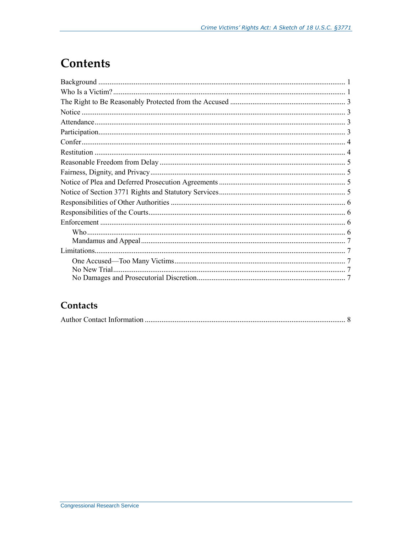### **Contents**

#### Contacts

|--|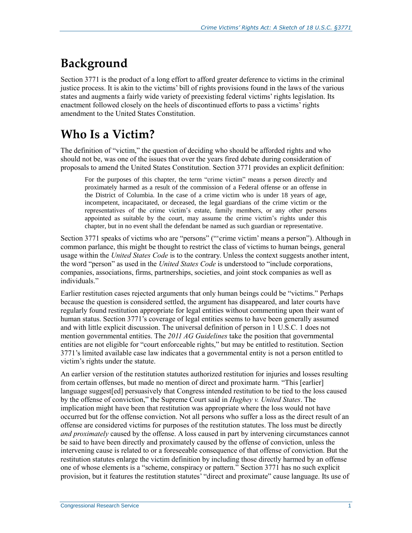# **Background**

Section 3771 is the product of a long effort to afford greater deference to victims in the criminal justice process. It is akin to the victims' bill of rights provisions found in the laws of the various states and augments a fairly wide variety of preexisting federal victims' rights legislation. Its enactment followed closely on the heels of discontinued efforts to pass a victims' rights amendment to the United States Constitution.

# **Who Is a Victim?**

The definition of "victim," the question of deciding who should be afforded rights and who should not be, was one of the issues that over the years fired debate during consideration of proposals to amend the United States Constitution. Section 3771 provides an explicit definition:

For the purposes of this chapter, the term "crime victim" means a person directly and proximately harmed as a result of the commission of a Federal offense or an offense in the District of Columbia. In the case of a crime victim who is under 18 years of age, incompetent, incapacitated, or deceased, the legal guardians of the crime victim or the representatives of the crime victim's estate, family members, or any other persons appointed as suitable by the court, may assume the crime victim's rights under this chapter, but in no event shall the defendant be named as such guardian or representative.

Section 3771 speaks of victims who are "persons" ("'crime victim' means a person"). Although in common parlance, this might be thought to restrict the class of victims to human beings, general usage within the *United States Code* is to the contrary. Unless the context suggests another intent, the word "person" as used in the *United States Code* is understood to "include corporations, companies, associations, firms, partnerships, societies, and joint stock companies as well as individuals."

Earlier restitution cases rejected arguments that only human beings could be "victims." Perhaps because the question is considered settled, the argument has disappeared, and later courts have regularly found restitution appropriate for legal entities without commenting upon their want of human status. Section 3771's coverage of legal entities seems to have been generally assumed and with little explicit discussion. The universal definition of person in 1 U.S.C. 1 does not mention governmental entities. The *2011 AG Guidelines* take the position that governmental entities are not eligible for "court enforceable rights," but may be entitled to restitution. Section 3771's limited available case law indicates that a governmental entity is not a person entitled to victim's rights under the statute.

An earlier version of the restitution statutes authorized restitution for injuries and losses resulting from certain offenses, but made no mention of direct and proximate harm. "This [earlier] language suggest[ed] persuasively that Congress intended restitution to be tied to the loss caused by the offense of conviction," the Supreme Court said in *Hughey v. United States*. The implication might have been that restitution was appropriate where the loss would not have occurred but for the offense conviction. Not all persons who suffer a loss as the direct result of an offense are considered victims for purposes of the restitution statutes. The loss must be directly *and proximately* caused by the offense. A loss caused in part by intervening circumstances cannot be said to have been directly and proximately caused by the offense of conviction, unless the intervening cause is related to or a foreseeable consequence of that offense of conviction. But the restitution statutes enlarge the victim definition by including those directly harmed by an offense one of whose elements is a "scheme, conspiracy or pattern." Section 3771 has no such explicit provision, but it features the restitution statutes' "direct and proximate" cause language. Its use of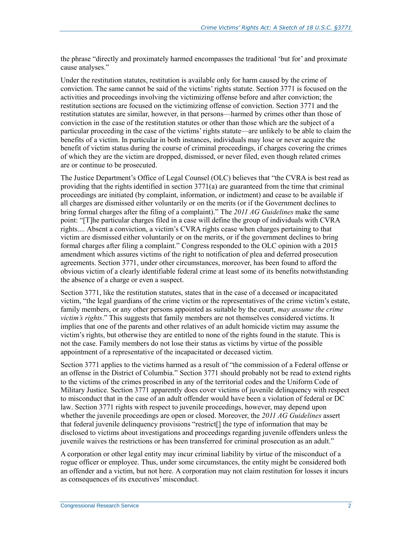the phrase "directly and proximately harmed encompasses the traditional 'but for' and proximate cause analyses."

Under the restitution statutes, restitution is available only for harm caused by the crime of conviction. The same cannot be said of the victims' rights statute. Section 3771 is focused on the activities and proceedings involving the victimizing offense before and after conviction; the restitution sections are focused on the victimizing offense of conviction. Section 3771 and the restitution statutes are similar, however, in that persons—harmed by crimes other than those of conviction in the case of the restitution statutes or other than those which are the subject of a particular proceeding in the case of the victims' rights statute—are unlikely to be able to claim the benefits of a victim. In particular in both instances, individuals may lose or never acquire the benefit of victim status during the course of criminal proceedings, if charges covering the crimes of which they are the victim are dropped, dismissed, or never filed, even though related crimes are or continue to be prosecuted.

The Justice Department's Office of Legal Counsel (OLC) believes that "the CVRA is best read as providing that the rights identified in section 3771(a) are guaranteed from the time that criminal proceedings are initiated (by complaint, information, or indictment) and cease to be available if all charges are dismissed either voluntarily or on the merits (or if the Government declines to bring formal charges after the filing of a complaint)." The *2011 AG Guidelines* make the same point: "[T]he particular charges filed in a case will define the group of individuals with CVRA rights.... Absent a conviction, a victim's CVRA rights cease when charges pertaining to that victim are dismissed either voluntarily or on the merits, or if the government declines to bring formal charges after filing a complaint." Congress responded to the OLC opinion with a 2015 amendment which assures victims of the right to notification of plea and deferred prosecution agreements. Section 3771, under other circumstances, moreover, has been found to afford the obvious victim of a clearly identifiable federal crime at least some of its benefits notwithstanding the absence of a charge or even a suspect.

Section 3771, like the restitution statutes, states that in the case of a deceased or incapacitated victim, "the legal guardians of the crime victim or the representatives of the crime victim's estate, family members, or any other persons appointed as suitable by the court, *may assume the crime victim's rights*." This suggests that family members are not themselves considered victims. It implies that one of the parents and other relatives of an adult homicide victim may assume the victim's rights, but otherwise they are entitled to none of the rights found in the statute. This is not the case. Family members do not lose their status as victims by virtue of the possible appointment of a representative of the incapacitated or deceased victim.

Section 3771 applies to the victims harmed as a result of "the commission of a Federal offense or an offense in the District of Columbia." Section 3771 should probably not be read to extend rights to the victims of the crimes proscribed in any of the territorial codes and the Uniform Code of Military Justice. Section 3771 apparently does cover victims of juvenile delinquency with respect to misconduct that in the case of an adult offender would have been a violation of federal or DC law. Section 3771 rights with respect to juvenile proceedings, however, may depend upon whether the juvenile proceedings are open or closed. Moreover, the *2011 AG Guidelines* assert that federal juvenile delinquency provisions "restrict[] the type of information that may be disclosed to victims about investigations and proceedings regarding juvenile offenders unless the juvenile waives the restrictions or has been transferred for criminal prosecution as an adult."

A corporation or other legal entity may incur criminal liability by virtue of the misconduct of a rogue officer or employee. Thus, under some circumstances, the entity might be considered both an offender and a victim, but not here. A corporation may not claim restitution for losses it incurs as consequences of its executives' misconduct.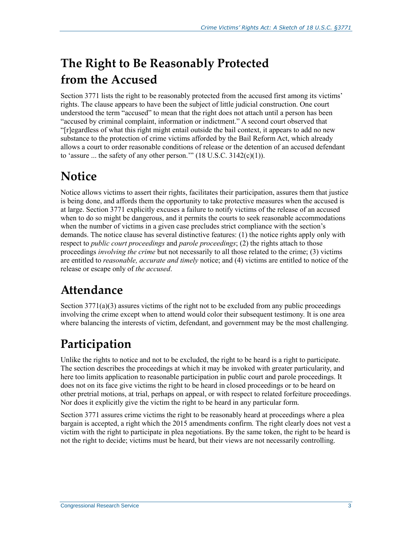# **The Right to Be Reasonably Protected from the Accused**

Section 3771 lists the right to be reasonably protected from the accused first among its victims' rights. The clause appears to have been the subject of little judicial construction. One court understood the term "accused" to mean that the right does not attach until a person has been "accused by criminal complaint, information or indictment." A second court observed that "[r]egardless of what this right might entail outside the bail context, it appears to add no new substance to the protection of crime victims afforded by the Bail Reform Act, which already allows a court to order reasonable conditions of release or the detention of an accused defendant to 'assure ... the safety of any other person.'"  $(18 \text{ U.S.C. } 3142(c)(1))$ .

# **Notice**

Notice allows victims to assert their rights, facilitates their participation, assures them that justice is being done, and affords them the opportunity to take protective measures when the accused is at large. Section 3771 explicitly excuses a failure to notify victims of the release of an accused when to do so might be dangerous, and it permits the courts to seek reasonable accommodations when the number of victims in a given case precludes strict compliance with the section's demands. The notice clause has several distinctive features: (1) the notice rights apply only with respect to *public court proceedings* and *parole proceedings*; (2) the rights attach to those proceedings *involving the crime* but not necessarily to all those related to the crime; (3) victims are entitled to *reasonable, accurate and timely* notice; and (4) victims are entitled to notice of the release or escape only of *the accused*.

# **Attendance**

Section  $3771(a)(3)$  assures victims of the right not to be excluded from any public proceedings involving the crime except when to attend would color their subsequent testimony. It is one area where balancing the interests of victim, defendant, and government may be the most challenging.

# **Participation**

Unlike the rights to notice and not to be excluded, the right to be heard is a right to participate. The section describes the proceedings at which it may be invoked with greater particularity, and here too limits application to reasonable participation in public court and parole proceedings. It does not on its face give victims the right to be heard in closed proceedings or to be heard on other pretrial motions, at trial, perhaps on appeal, or with respect to related forfeiture proceedings. Nor does it explicitly give the victim the right to be heard in any particular form.

Section 3771 assures crime victims the right to be reasonably heard at proceedings where a plea bargain is accepted, a right which the 2015 amendments confirm. The right clearly does not vest a victim with the right to participate in plea negotiations. By the same token, the right to be heard is not the right to decide; victims must be heard, but their views are not necessarily controlling.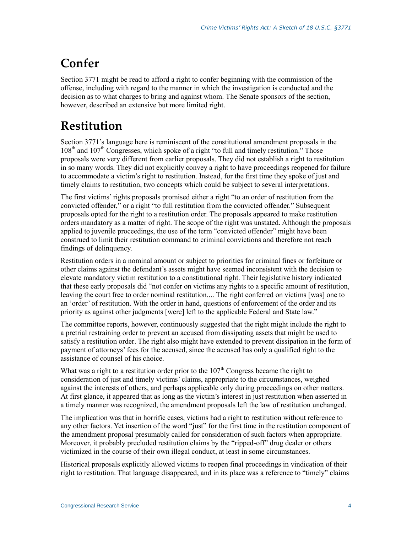# **Confer**

Section 3771 might be read to afford a right to confer beginning with the commission of the offense, including with regard to the manner in which the investigation is conducted and the decision as to what charges to bring and against whom. The Senate sponsors of the section, however, described an extensive but more limited right.

# **Restitution**

Section 3771's language here is reminiscent of the constitutional amendment proposals in the  $108<sup>th</sup>$  and  $107<sup>th</sup>$  Congresses, which spoke of a right "to full and timely restitution." Those proposals were very different from earlier proposals. They did not establish a right to restitution in so many words. They did not explicitly convey a right to have proceedings reopened for failure to accommodate a victim's right to restitution. Instead, for the first time they spoke of just and timely claims to restitution, two concepts which could be subject to several interpretations.

The first victims' rights proposals promised either a right "to an order of restitution from the convicted offender," or a right "to full restitution from the convicted offender." Subsequent proposals opted for the right to a restitution order. The proposals appeared to make restitution orders mandatory as a matter of right. The scope of the right was unstated. Although the proposals applied to juvenile proceedings, the use of the term "convicted offender" might have been construed to limit their restitution command to criminal convictions and therefore not reach findings of delinquency.

Restitution orders in a nominal amount or subject to priorities for criminal fines or forfeiture or other claims against the defendant's assets might have seemed inconsistent with the decision to elevate mandatory victim restitution to a constitutional right. Their legislative history indicated that these early proposals did "not confer on victims any rights to a specific amount of restitution, leaving the court free to order nominal restitution.... The right conferred on victims [was] one to an 'order' of restitution. With the order in hand, questions of enforcement of the order and its priority as against other judgments [were] left to the applicable Federal and State law."

The committee reports, however, continuously suggested that the right might include the right to a pretrial restraining order to prevent an accused from dissipating assets that might be used to satisfy a restitution order. The right also might have extended to prevent dissipation in the form of payment of attorneys' fees for the accused, since the accused has only a qualified right to the assistance of counsel of his choice.

What was a right to a restitution order prior to the  $107<sup>th</sup>$  Congress became the right to consideration of just and timely victims' claims, appropriate to the circumstances, weighed against the interests of others, and perhaps applicable only during proceedings on other matters. At first glance, it appeared that as long as the victim's interest in just restitution when asserted in a timely manner was recognized, the amendment proposals left the law of restitution unchanged.

The implication was that in horrific cases, victims had a right to restitution without reference to any other factors. Yet insertion of the word "just" for the first time in the restitution component of the amendment proposal presumably called for consideration of such factors when appropriate. Moreover, it probably precluded restitution claims by the "ripped-off" drug dealer or others victimized in the course of their own illegal conduct, at least in some circumstances.

Historical proposals explicitly allowed victims to reopen final proceedings in vindication of their right to restitution. That language disappeared, and in its place was a reference to "timely" claims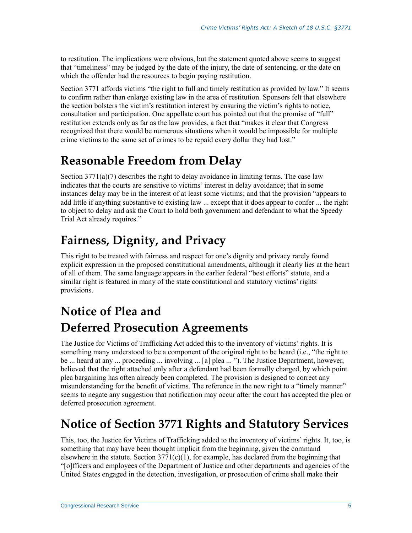to restitution. The implications were obvious, but the statement quoted above seems to suggest that "timeliness" may be judged by the date of the injury, the date of sentencing, or the date on which the offender had the resources to begin paying restitution.

Section 3771 affords victims "the right to full and timely restitution as provided by law." It seems to confirm rather than enlarge existing law in the area of restitution. Sponsors felt that elsewhere the section bolsters the victim's restitution interest by ensuring the victim's rights to notice, consultation and participation. One appellate court has pointed out that the promise of "full" restitution extends only as far as the law provides, a fact that "makes it clear that Congress recognized that there would be numerous situations when it would be impossible for multiple crime victims to the same set of crimes to be repaid every dollar they had lost."

### **Reasonable Freedom from Delay**

Section  $3771(a)(7)$  describes the right to delay avoidance in limiting terms. The case law indicates that the courts are sensitive to victims' interest in delay avoidance; that in some instances delay may be in the interest of at least some victims; and that the provision "appears to add little if anything substantive to existing law ... except that it does appear to confer ... the right to object to delay and ask the Court to hold both government and defendant to what the Speedy Trial Act already requires."

# **Fairness, Dignity, and Privacy**

This right to be treated with fairness and respect for one's dignity and privacy rarely found explicit expression in the proposed constitutional amendments, although it clearly lies at the heart of all of them. The same language appears in the earlier federal "best efforts" statute, and a similar right is featured in many of the state constitutional and statutory victims' rights provisions.

# **Notice of Plea and Deferred Prosecution Agreements**

The Justice for Victims of Trafficking Act added this to the inventory of victims' rights. It is something many understood to be a component of the original right to be heard (i.e., "the right to be ... heard at any ... proceeding ... involving ... [a] plea ... "). The Justice Department, however, believed that the right attached only after a defendant had been formally charged, by which point plea bargaining has often already been completed. The provision is designed to correct any misunderstanding for the benefit of victims. The reference in the new right to a "timely manner" seems to negate any suggestion that notification may occur after the court has accepted the plea or deferred prosecution agreement.

# **Notice of Section 3771 Rights and Statutory Services**

This, too, the Justice for Victims of Trafficking added to the inventory of victims' rights. It, too, is something that may have been thought implicit from the beginning, given the command elsewhere in the statute. Section  $3771(c)(1)$ , for example, has declared from the beginning that "[o]fficers and employees of the Department of Justice and other departments and agencies of the United States engaged in the detection, investigation, or prosecution of crime shall make their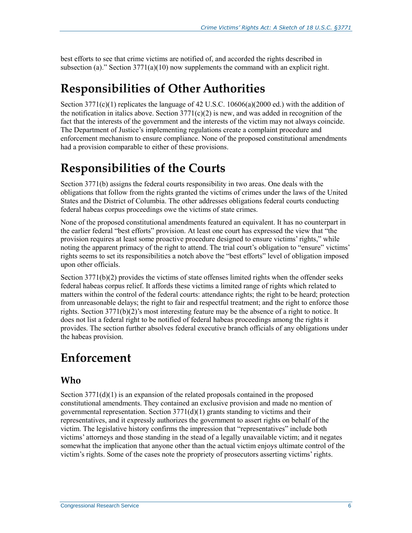best efforts to see that crime victims are notified of, and accorded the rights described in subsection (a)." Section  $3771(a)(10)$  now supplements the command with an explicit right.

# **Responsibilities of Other Authorities**

Section  $3771(c)(1)$  replicates the language of 42 U.S.C. 10606(a)(2000 ed.) with the addition of the notification in italics above. Section  $3771(c)(2)$  is new, and was added in recognition of the fact that the interests of the government and the interests of the victim may not always coincide. The Department of Justice's implementing regulations create a complaint procedure and enforcement mechanism to ensure compliance. None of the proposed constitutional amendments had a provision comparable to either of these provisions.

# **Responsibilities of the Courts**

Section 3771(b) assigns the federal courts responsibility in two areas. One deals with the obligations that follow from the rights granted the victims of crimes under the laws of the United States and the District of Columbia. The other addresses obligations federal courts conducting federal habeas corpus proceedings owe the victims of state crimes.

None of the proposed constitutional amendments featured an equivalent. It has no counterpart in the earlier federal "best efforts" provision. At least one court has expressed the view that "the provision requires at least some proactive procedure designed to ensure victims' rights," while noting the apparent primacy of the right to attend. The trial court's obligation to "ensure" victims' rights seems to set its responsibilities a notch above the "best efforts" level of obligation imposed upon other officials.

Section 3771(b)(2) provides the victims of state offenses limited rights when the offender seeks federal habeas corpus relief. It affords these victims a limited range of rights which related to matters within the control of the federal courts: attendance rights; the right to be heard; protection from unreasonable delays; the right to fair and respectful treatment; and the right to enforce those rights. Section 3771(b)(2)'s most interesting feature may be the absence of a right to notice. It does not list a federal right to be notified of federal habeas proceedings among the rights it provides. The section further absolves federal executive branch officials of any obligations under the habeas provision.

### **Enforcement**

#### **Who**

Section  $3771(d)(1)$  is an expansion of the related proposals contained in the proposed constitutional amendments. They contained an exclusive provision and made no mention of governmental representation. Section  $3771(d)(1)$  grants standing to victims and their representatives, and it expressly authorizes the government to assert rights on behalf of the victim. The legislative history confirms the impression that "representatives" include both victims' attorneys and those standing in the stead of a legally unavailable victim; and it negates somewhat the implication that anyone other than the actual victim enjoys ultimate control of the victim's rights. Some of the cases note the propriety of prosecutors asserting victims' rights.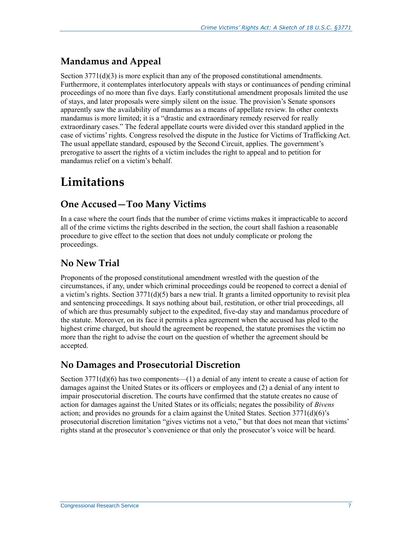#### **Mandamus and Appeal**

Section  $3771(d)(3)$  is more explicit than any of the proposed constitutional amendments. Furthermore, it contemplates interlocutory appeals with stays or continuances of pending criminal proceedings of no more than five days. Early constitutional amendment proposals limited the use of stays, and later proposals were simply silent on the issue. The provision's Senate sponsors apparently saw the availability of mandamus as a means of appellate review. In other contexts mandamus is more limited; it is a "drastic and extraordinary remedy reserved for really extraordinary cases." The federal appellate courts were divided over this standard applied in the case of victims' rights. Congress resolved the dispute in the Justice for Victims of Trafficking Act. The usual appellate standard, espoused by the Second Circuit, applies. The government's prerogative to assert the rights of a victim includes the right to appeal and to petition for mandamus relief on a victim's behalf.

# **Limitations**

#### **One Accused—Too Many Victims**

In a case where the court finds that the number of crime victims makes it impracticable to accord all of the crime victims the rights described in the section, the court shall fashion a reasonable procedure to give effect to the section that does not unduly complicate or prolong the proceedings.

#### **No New Trial**

Proponents of the proposed constitutional amendment wrestled with the question of the circumstances, if any, under which criminal proceedings could be reopened to correct a denial of a victim's rights. Section 3771(d)(5) bars a new trial. It grants a limited opportunity to revisit plea and sentencing proceedings. It says nothing about bail, restitution, or other trial proceedings, all of which are thus presumably subject to the expedited, five-day stay and mandamus procedure of the statute. Moreover, on its face it permits a plea agreement when the accused has pled to the highest crime charged, but should the agreement be reopened, the statute promises the victim no more than the right to advise the court on the question of whether the agreement should be accepted.

#### **No Damages and Prosecutorial Discretion**

Section  $3771(d)(6)$  has two components—(1) a denial of any intent to create a cause of action for damages against the United States or its officers or employees and (2) a denial of any intent to impair prosecutorial discretion. The courts have confirmed that the statute creates no cause of action for damages against the United States or its officials; negates the possibility of *Bivens* action; and provides no grounds for a claim against the United States. Section  $3771(d)(6)$ 's prosecutorial discretion limitation "gives victims not a veto," but that does not mean that victims' rights stand at the prosecutor's convenience or that only the prosecutor's voice will be heard.